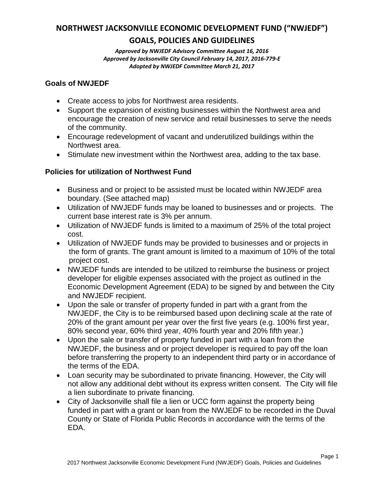# **NORTHWEST JACKSONVILLE ECONOMIC DEVELOPMENT FUND ("NWJEDF")**

# **GOALS, POLICIES AND GUIDELINES**

*Approved by NWJEDF Advisory Committee August 16, 2016 Approved by Jacksonville City Council February 14, 2017, 2016-779-E Adopted by NWJEDF Committee March 21, 2017*

### **Goals of NWJEDF**

- Create access to jobs for Northwest area residents.
- Support the expansion of existing businesses within the Northwest area and encourage the creation of new service and retail businesses to serve the needs of the community.
- Encourage redevelopment of vacant and underutilized buildings within the Northwest area.
- Stimulate new investment within the Northwest area, adding to the tax base.

# **Policies for utilization of Northwest Fund**

- Business and or project to be assisted must be located within NWJEDF area boundary. (See attached map)
- Utilization of NWJEDF funds may be loaned to businesses and or projects. The current base interest rate is 3% per annum.
- Utilization of NWJEDF funds is limited to a maximum of 25% of the total project cost.
- Utilization of NWJEDF funds may be provided to businesses and or projects in the form of grants. The grant amount is limited to a maximum of 10% of the total project cost.
- NWJEDF funds are intended to be utilized to reimburse the business or project developer for eligible expenses associated with the project as outlined in the Economic Development Agreement (EDA) to be signed by and between the City and NWJEDF recipient.
- Upon the sale or transfer of property funded in part with a grant from the NWJEDF, the City is to be reimbursed based upon declining scale at the rate of 20% of the grant amount per year over the first five years (e.g. 100% first year, 80% second year, 60% third year, 40% fourth year and 20% fifth year.)
- Upon the sale or transfer of property funded in part with a loan from the NWJEDF, the business and or project developer is required to pay off the loan before transferring the property to an independent third party or in accordance of the terms of the EDA.
- Loan security may be subordinated to private financing. However, the City will not allow any additional debt without its express written consent. The City will file a lien subordinate to private financing.
- City of Jacksonville shall file a lien or UCC form against the property being funded in part with a grant or loan from the NWJEDF to be recorded in the Duval County or State of Florida Public Records in accordance with the terms of the EDA.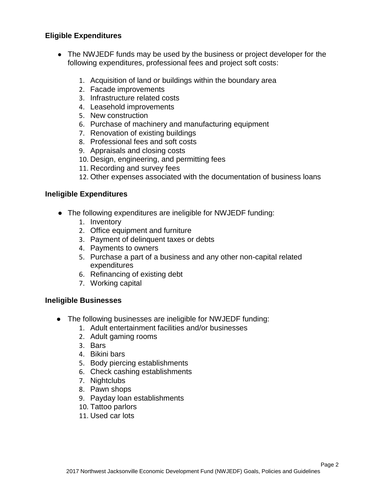### **Eligible Expenditures**

- The NWJEDF funds may be used by the business or project developer for the following expenditures, professional fees and project soft costs:
	- 1. Acquisition of land or buildings within the boundary area
	- 2. Facade improvements
	- 3. Infrastructure related costs
	- 4. Leasehold improvements
	- 5. New construction
	- 6. Purchase of machinery and manufacturing equipment
	- 7. Renovation of existing buildings
	- 8. Professional fees and soft costs
	- 9. Appraisals and closing costs
	- 10. Design, engineering, and permitting fees
	- 11. Recording and survey fees
	- 12. Other expenses associated with the documentation of business loans

#### **Ineligible Expenditures**

- The following expenditures are ineligible for NWJEDF funding:
	- 1. Inventory
	- 2. Office equipment and furniture
	- 3. Payment of delinquent taxes or debts
	- 4. Payments to owners
	- 5. Purchase a part of a business and any other non-capital related expenditures
	- 6. Refinancing of existing debt
	- 7. Working capital

#### **Ineligible Businesses**

- The following businesses are ineligible for NWJEDF funding:
	- 1. Adult entertainment facilities and/or businesses
	- 2. Adult gaming rooms
	- 3. Bars
	- 4. Bikini bars
	- 5. Body piercing establishments
	- 6. Check cashing establishments
	- 7. Nightclubs
	- 8. Pawn shops
	- 9. Payday loan establishments
	- 10. Tattoo parlors
	- 11. Used car lots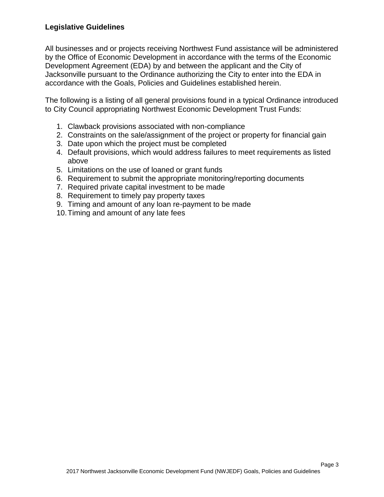All businesses and or projects receiving Northwest Fund assistance will be administered by the Office of Economic Development in accordance with the terms of the Economic Development Agreement (EDA) by and between the applicant and the City of Jacksonville pursuant to the Ordinance authorizing the City to enter into the EDA in accordance with the Goals, Policies and Guidelines established herein.

The following is a listing of all general provisions found in a typical Ordinance introduced to City Council appropriating Northwest Economic Development Trust Funds:

- 1. Clawback provisions associated with non-compliance
- 2. Constraints on the sale/assignment of the project or property for financial gain
- 3. Date upon which the project must be completed
- 4. Default provisions, which would address failures to meet requirements as listed above
- 5. Limitations on the use of loaned or grant funds
- 6. Requirement to submit the appropriate monitoring/reporting documents
- 7. Required private capital investment to be made
- 8. Requirement to timely pay property taxes
- 9. Timing and amount of any loan re-payment to be made
- 10. Timing and amount of any late fees